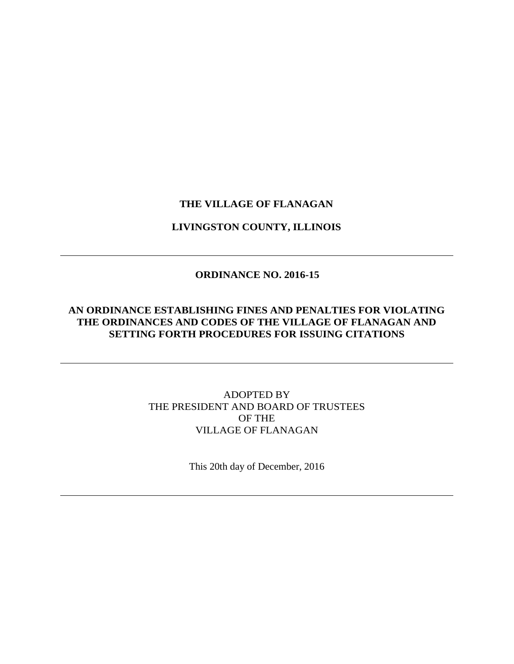# **THE VILLAGE OF FLANAGAN**

#### **LIVINGSTON COUNTY, ILLINOIS**

# **ORDINANCE NO. 2016-15**

# **AN ORDINANCE ESTABLISHING FINES AND PENALTIES FOR VIOLATING THE ORDINANCES AND CODES OF THE VILLAGE OF FLANAGAN AND SETTING FORTH PROCEDURES FOR ISSUING CITATIONS**

# ADOPTED BY THE PRESIDENT AND BOARD OF TRUSTEES OF THE VILLAGE OF FLANAGAN

This 20th day of December, 2016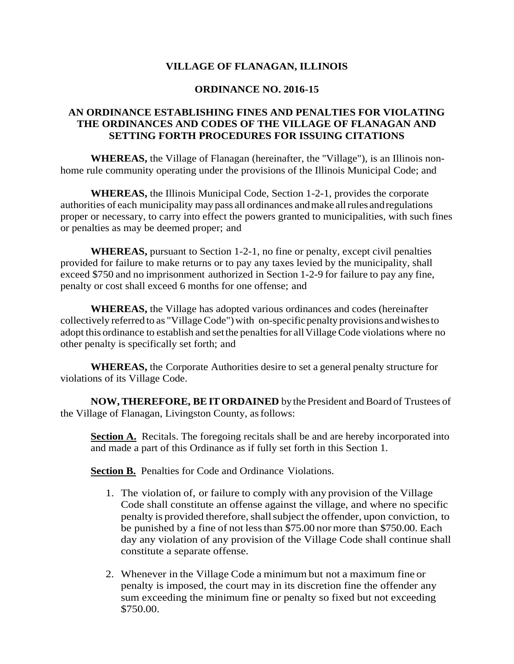# **VILLAGE OF FLANAGAN, ILLINOIS**

#### **ORDINANCE NO. 2016-15**

#### **AN ORDINANCE ESTABLISHING FINES AND PENALTIES FOR VIOLATING THE ORDINANCES AND CODES OF THE VILLAGE OF FLANAGAN AND SETTING FORTH PROCEDURES FOR ISSUING CITATIONS**

**WHEREAS,** the Village of Flanagan (hereinafter, the ''Village"), is an Illinois nonhome rule community operating under the provisions of the Illinois Municipal Code; and

**WHEREAS,** the Illinois Municipal Code, Section 1-2-1, provides the corporate authorities of each municipality may pass all ordinances andmake allrules andregulations proper or necessary, to carry into effect the powers granted to municipalities, with such fines or penalties as may be deemed proper; and

**WHEREAS,** pursuant to Section 1-2-1, no fine or penalty, except civil penalties provided for failure to make returns or to pay any taxes levied by the municipality, shall exceed \$750 and no imprisonment authorized in Section 1-2-9 for failure to pay any fine, penalty or cost shall exceed 6 months for one offense; and

**WHEREAS,** the Village has adopted various ordinances and codes (hereinafter collectively referred to as "Village Code") with on-specific penalty provisions and wishes to adopt this ordinance to establish and set the penalties for all Village Code violations where no other penalty is specifically set forth; and

**WHEREAS,** the Corporate Authorities desire to set a general penalty structure for violations of its Village Code.

**NOW, THEREFORE, BEITORDAINED** bythePresident and Board of Trustees of the Village of Flanagan, Livingston County, asfollows:

**Section A.** Recitals. The foregoing recitals shall be and are hereby incorporated into and made a part of this Ordinance as if fully set forth in this Section 1.

**Section B.** Penalties for Code and Ordinance Violations.

- 1. The violation of, or failure to comply with any provision of the Village Code shall constitute an offense against the village, and where no specific penalty is provided therefore, shall subject the offender, upon conviction, to be punished by a fine of not less than \$75.00 normore than \$750.00. Each day any violation of any provision of the Village Code shall continue shall constitute a separate offense.
- 2. Whenever in the Village Code a minimum but not a maximum fine or penalty is imposed, the court may in its discretion fine the offender any sum exceeding the minimum fine or penalty so fixed but not exceeding \$750.00.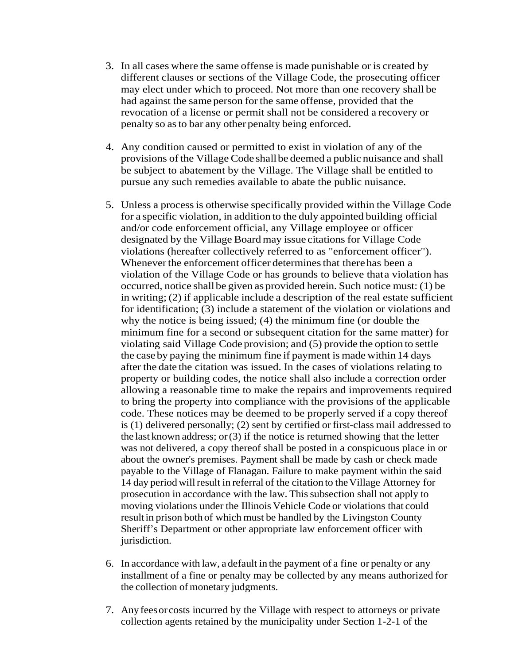- 3. In all cases where the same offense is made punishable or is created by different clauses or sections of the Village Code, the prosecuting officer may elect under which to proceed. Not more than one recovery shall be had against the same person for the same offense, provided that the revocation of a license or permit shall not be considered a recovery or penalty so asto bar any other penalty being enforced.
- 4. Any condition caused or permitted to exist in violation of any of the provisions of the Village Code shallbe deemed a public nuisance and shall be subject to abatement by the Village. The Village shall be entitled to pursue any such remedies available to abate the public nuisance.
- 5. Unless a processis otherwise specifically provided within the Village Code for a specific violation, in addition to the duly appointed building official and/or code enforcement official, any Village employee or officer designated by the Village Boardmay issue citations for Village Code violations (hereafter collectively referred to as "enforcement officer"). Whenever the enforcement officer determines that there has been a violation of the Village Code or has grounds to believe thata violation has occurred, notice shallbe given as provided herein. Such notice must: (1) be in writing; (2) if applicable include a description of the real estate sufficient for identification; (3) include a statement of the violation or violations and why the notice is being issued; (4) the minimum fine (or double the minimum fine for a second or subsequent citation for the same matter) for violating said Village Code provision; and (5) provide the option to settle the case by paying the minimum fine if payment is made within 14 days after the date the citation was issued. In the cases of violations relating to property or building codes, the notice shall also include a correction order allowing a reasonable time to make the repairs and improvements required to bring the property into compliance with the provisions of the applicable code. These notices may be deemed to be properly served if a copy thereof is (1) delivered personally; (2) sent by certified or first-class mail addressed to the last known address; or  $(3)$  if the notice is returned showing that the letter was not delivered, a copy thereof shall be posted in a conspicuous place in or about the owner's premises. Payment shall be made by cash or check made payable to the Village of Flanagan. Failure to make payment within the said 14 day period will result in referral of the citation to the Village Attorney for prosecution in accordance with the law. This subsection shall not apply to moving violations under the Illinois Vehicle Code or violations that could resultin prison both of which must be handled by the Livingston County Sheriff's Department or other appropriate law enforcement officer with jurisdiction.
- 6. In accordance with law, a default in the payment of a fine or penalty or any installment of a fine or penalty may be collected by any means authorized for the collection of monetary judgments.
- 7. Any feesor costs incurred by the Village with respect to attorneys or private collection agents retained by the municipality under Section 1-2-1 of the